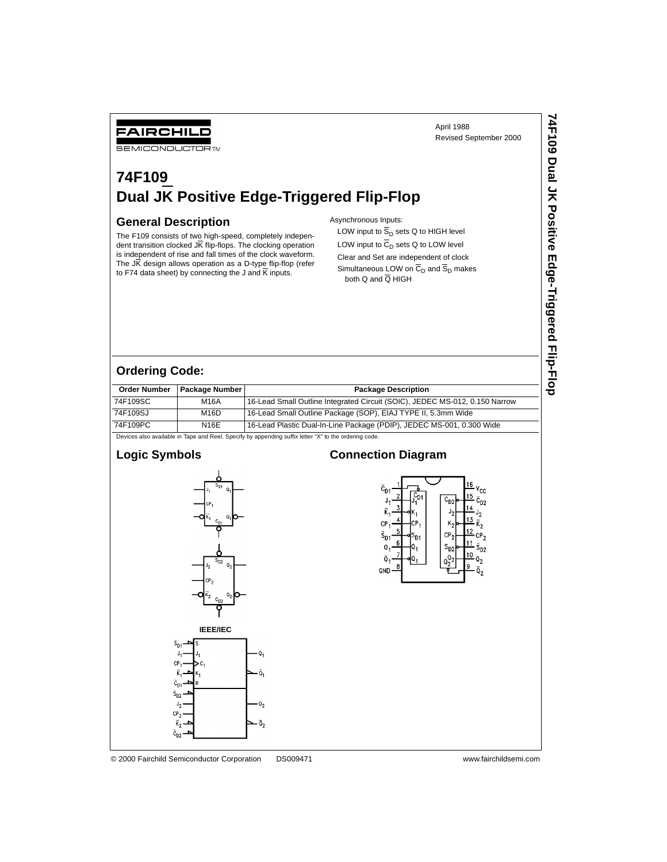FAIRCHILD

**SEMICONDUCTOR TM** 

April 1988 Revised September 2000 **74F109 Dual JK Positive Edge-Triggered Flip-Flop**

74F109 Dual JK Positive Edge-Triggered Flip-Flop

# **74F109 Dual JK Positive Edge-Triggered Flip-Flop**

#### **General Description**

The F109 consists of two high-speed, completely independent transition clocked JK flip-flops. The clocking operation is independent of rise and fall times of the clock waveform. The J $\overline{K}$  design allows operation as a D-type flip-flop (refer to F74 data sheet) by connecting the J and  $\overline{K}$  inputs.

#### Asynchronous Inputs:

LOW input to  $\overline{S}_D$  sets Q to HIGH level LOW input to  $\overline{C}_D$  sets Q to LOW level Clear and Set are independent of clock Simultaneous LOW on  $\overline{C}_D$  and  $\overline{S}_D$  makes both Q and Q HIGH

| <b>Order Number</b> | <b>Package Number I</b> | <b>Package Description</b>                                                  |
|---------------------|-------------------------|-----------------------------------------------------------------------------|
| 74F109SC            | M16A                    | 16-Lead Small Outline Integrated Circuit (SOIC), JEDEC MS-012, 0.150 Narrow |
| 74F109SJ            | M16D                    | 16-Lead Small Outline Package (SOP), EIAJ TYPE II, 5.3mm Wide               |
| 74F109PC            | N16E                    | 16-Lead Plastic Dual-In-Line Package (PDIP), JEDEC MS-001, 0.300 Wide       |

Devices also available in Tape and Reel. Specify by appending suffix letter "X" to the ordering code.

#### **Logic Symbols**

**Ordering Code:** 



#### **Connection Diagram**



© 2000 Fairchild Semiconductor Corporation DS009471 www.fairchildsemi.com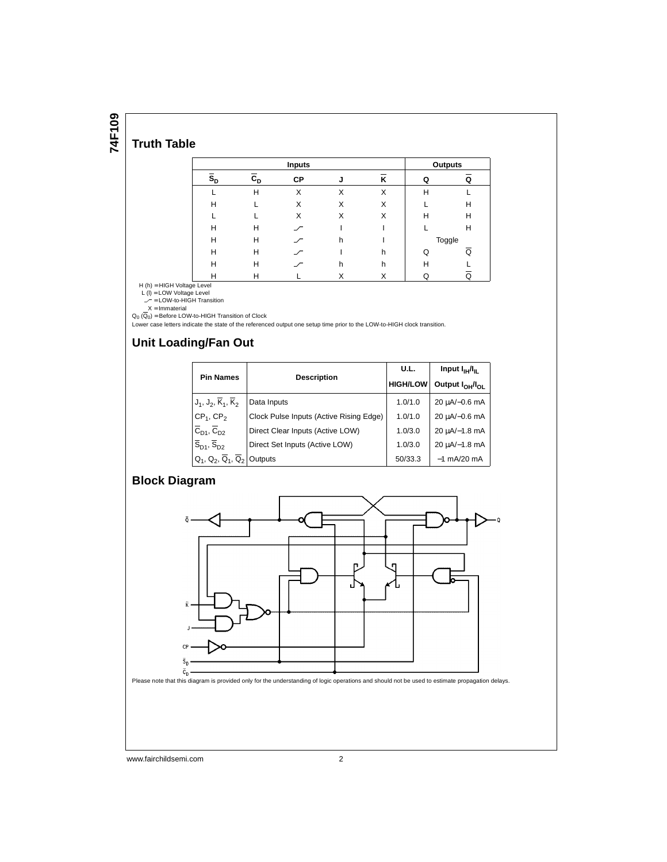**74F109**

## **Truth Table**

|                           | <b>Inputs</b> |           |    |   |   | Outputs |  |
|---------------------------|---------------|-----------|----|---|---|---------|--|
| $\overline{s}_{\text{D}}$ | $c_{D}$       | <b>CP</b> | ۰J | ĸ | ი | Q       |  |
|                           | H             | X         | X  | X | H |         |  |
| Н                         |               | X         | X  | X |   | н       |  |
|                           |               | X         | X  | X | н | н       |  |
| H                         | н             | ╱         |    |   |   | н       |  |
| H                         | н             | ╱         | h  |   |   | Toggle  |  |
| H                         | н             | ╱         |    | h | Q | Q       |  |
| н                         | н             | ╱         | h  | h | н |         |  |
| н                         | Н             |           |    | х |   | Q       |  |

H (h) = HIGH Voltage Level<br>
L (l) = LOW Voltage Level<br>  $\mathcal{L} =$  LOW-to-HIGH Transition<br>  $X =$  Immaterial<br>
Q<sub>0</sub> ( $\overline{Q}_0$ ) = Before LOW-to-HIGH Transition of Clock

Lower case letters indicate the state of the referenced output one setup time prior to the LOW-to-HIGH clock transition.

#### **Unit Loading/Fan Out**

|                                                                            |                                         | U.L.            | Input $I_{\text{IH}}/I_{\text{IL}}$     |  |
|----------------------------------------------------------------------------|-----------------------------------------|-----------------|-----------------------------------------|--|
| <b>Pin Names</b>                                                           | <b>Description</b>                      | <b>HIGH/LOW</b> | Output I <sub>OH</sub> /I <sub>OL</sub> |  |
| $J_1, J_2, \overline{K}_1, \overline{K}_2$                                 | Data Inputs                             | 1.0/1.0         | 20 µA/-0.6 mA                           |  |
| $CP1$ , $CP2$                                                              | Clock Pulse Inputs (Active Rising Edge) | 1.0/1.0         | 20 uA/-0.6 mA                           |  |
| $\overline{C}_{D1}$ , $\overline{C}_{D2}$                                  | Direct Clear Inputs (Active LOW)        | 1.0/3.0         | 20 uA/-1.8 mA                           |  |
| $\overline{\mathsf{S}}_{\textsf{D1}}, \overline{\mathsf{S}}_{\textsf{D2}}$ | Direct Set Inputs (Active LOW)          | 1.0/3.0         | 20 uA/-1.8 mA                           |  |
| $Q_1, Q_2, Q_1, Q_2$                                                       | Outputs                                 | 50/33.3         | $-1$ mA/20 mA                           |  |

#### **Block Diagram**



www.fairchildsemi.com 2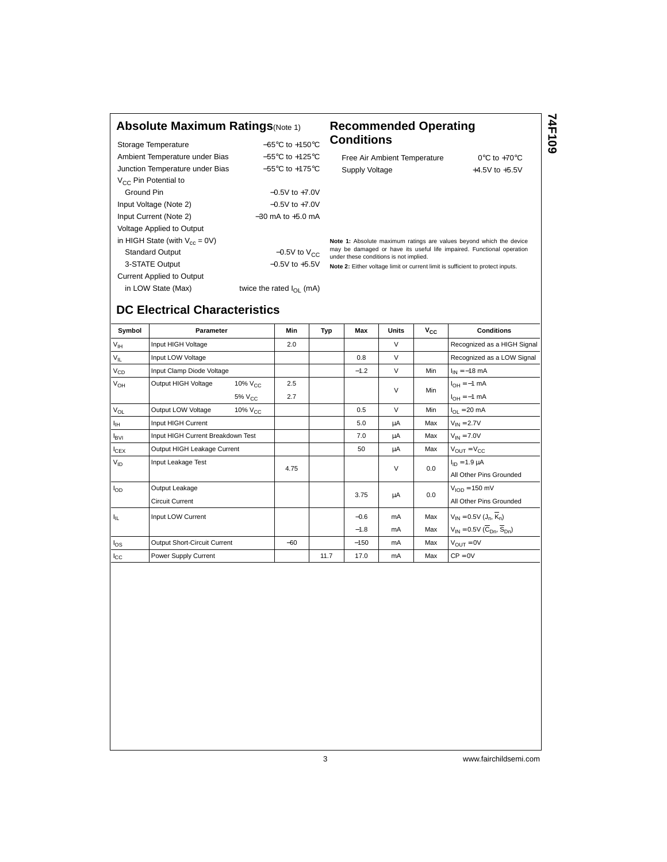#### **Absolute Maximum Ratings**(Note 1) **Recommended Operating**

| Storage Temperature                 | $-65^{\circ}$ C to $+150^{\circ}$ C  |
|-------------------------------------|--------------------------------------|
| Ambient Temperature under Bias      | $-55^{\circ}$ C to $+125^{\circ}$ C  |
| Junction Temperature under Bias     | $-55^{\circ}$ C to $+175^{\circ}$ C  |
| $V_{CC}$ Pin Potential to           |                                      |
| Ground Pin                          | $-0.5V$ to $+7.0V$                   |
| Input Voltage (Note 2)              | $-0.5V$ to $+7.0V$                   |
| Input Current (Note 2)              | $-30$ mA to $+5.0$ mA                |
| Voltage Applied to Output           |                                      |
| in HIGH State (with $V_{cc} = 0V$ ) |                                      |
| <b>Standard Output</b>              | $-0.5V$ to $V_{CC}$                  |
| 3-STATE Output                      | $-0.5V$ to $+5.5V$                   |
| <b>Current Applied to Output</b>    |                                      |
| in LOW State (Max)                  | twice the rated $I_{\text{OI}}$ (mA) |
|                                     |                                      |

# **Conditions**

| Free Air Ambient Temperature |  |
|------------------------------|--|
| Supply Voltage               |  |

**74F109**

 $0^{\circ}$ C to +70 $^{\circ}$ C +4.5V to  $+5.5V$ 

**Note 1:** Absolute maximum ratings are values beyond which the device may be damaged or have its useful life impaired. Functional operation under these conditions is not implied.

**Note 2:** Either voltage limit or current limit is sufficient to protect inputs.

# **DC Electrical Characteristics**

| Symbol          | <b>Parameter</b>                           | Min   | Typ  | Max    | <b>Units</b> | $V_{CC}$ | <b>Conditions</b>                                     |
|-----------------|--------------------------------------------|-------|------|--------|--------------|----------|-------------------------------------------------------|
| V <sub>IH</sub> | Input HIGH Voltage                         | 2.0   |      |        | $\vee$       |          | Recognized as a HIGH Signal                           |
| $V_{IL}$        | Input LOW Voltage                          |       |      | 0.8    | $\vee$       |          | Recognized as a LOW Signal                            |
| $V_{CD}$        | Input Clamp Diode Voltage                  |       |      | $-1.2$ | $\vee$       | Min      | $I_{IN} = -18$ mA                                     |
| $V_{OH}$        | Output HIGH Voltage<br>10% V <sub>CC</sub> | 2.5   |      |        | $\vee$       | Min      | $I_{OH} = -1$ mA                                      |
|                 | $5\%$ $V_{CC}$                             | 2.7   |      |        |              |          | $I_{OH} = -1$ mA                                      |
| $V_{OL}$        | Output LOW Voltage<br>$10\%$ $V_{CC}$      |       |      | 0.5    | $\vee$       | Min      | $I_{\Omega I} = 20 \text{ mA}$                        |
| ŀщ              | Input HIGH Current                         |       |      | 5.0    | μA           | Max      | $V_{IN} = 2.7V$                                       |
| <b>IBVI</b>     | Input HIGH Current Breakdown Test          |       |      | 7.0    | μA           | Max      | $V_{IN} = 7.0V$                                       |
| $I_{CEX}$       | Output HIGH Leakage Current                |       |      | 50     | μA           | Max      | $V_{\text{OUT}} = V_{\text{CC}}$                      |
| $V_{ID}$        | Input Leakage Test                         | 4.75  |      |        | $\vee$       | 0.0      | $I_{ID} = 1.9 \mu A$                                  |
|                 |                                            |       |      |        |              |          | All Other Pins Grounded                               |
| $I_{OD}$        | Output Leakage                             |       |      | 3.75   | μA           | 0.0      | $VION = 150$ mV                                       |
|                 | <b>Circuit Current</b>                     |       |      |        |              |          | All Other Pins Grounded                               |
| ŀμ,             | Input LOW Current                          |       |      | $-0.6$ | mA           | Max      | $V_{IN} = 0.5V (J_n, \overline{K}_n)$                 |
|                 |                                            |       |      | $-1.8$ | mA           | Max      | $V_{IN} = 0.5V(\overline{C}_{Dn}, \overline{S}_{Dn})$ |
| $I_{OS}$        | Output Short-Circuit Current               | $-60$ |      | $-150$ | mA           | Max      | $V_{\text{OUT}} = 0V$                                 |
| $I_{\rm CC}$    | Power Supply Current                       |       | 11.7 | 17.0   | mA           | Max      | $CP = 0V$                                             |

3 www.fairchildsemi.com